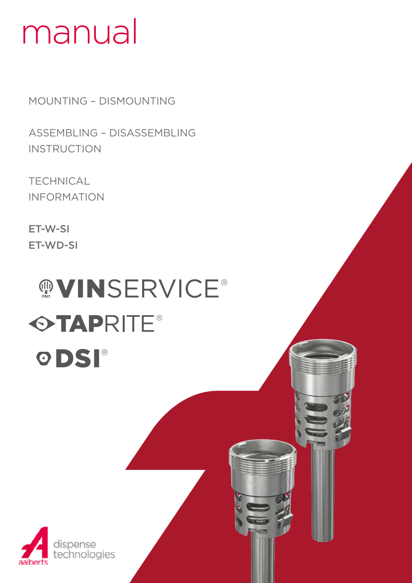# manual

MOUNTING – DISMOUNTING

ASSEMBLING – DISASSEMBLING **INSTRUCTION** 

**TECHNICAL** INFORMATION

dispense

technologies

ET-W-SI ET-WD-SI

# **MOVINSERVICE® OTAPRITE®** ODSI®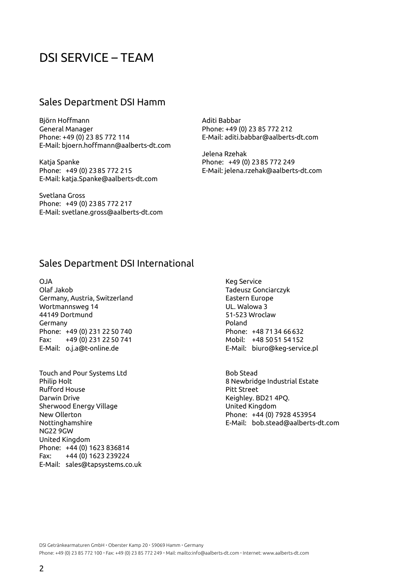## DSI SERVICE – TEAM

#### Sales Department DSI Hamm

Björn Hoffmann General Manager Phone: +49 (0) 23 85 772 114 E-Mail: bjoern.hoffmann@aalberts-dt.com

Katja Spanke Phone: +49 (0) 2385 772 215 E-Mail: katja.Spanke@aalberts-dt.com

Svetlana Gross Phone: +49 (0) 2385 772 217 E-Mail: svetlane.gross@aalberts-dt.com Aditi Babbar Phone: +49 (0) 23 85 772 212 E-Mail: aditi.babbar@aalberts-dt.com

Jelena Rzehak Phone: +49 (0) 2385 772 249 E-Mail: jelena.rzehak@aalberts-dt.com

#### Sales Department DSI International

OJA Olaf Jakob Germany, Austria, Switzerland Wortmannsweg 14 44149 Dortmund Germany Phone: +49 (0) 231 2250 740 Fax: +49 (0) 231 2250 741 E-Mail: o.j.a@t-online.de

Touch and Pour Systems Ltd Philip Holt Rufford House Darwin Drive Sherwood Energy Village New Ollerton Nottinghamshire NG22 9GW United Kingdom Phone: +44 (0) 1623 836814 Fax: +44 (0) 1623 239224 E-Mail: sales@tapsystems.co.uk

Keg Service Tadeusz Gonciarczyk Eastern Europe UL. Walowa 3 51-523 Wroclaw Poland Phone: +48 7134 66632 Mobil: +48 5051 54152 E-Mail: biuro@keg-service.pl

Bob Stead 8 Newbridge Industrial Estate Pitt Street Keighley. BD21 4PQ. United Kingdom Phone: +44 (0) 7928 453954 E-Mail: bob.stead@aalberts-dt.com

DSI Getränkearmaturen GmbH · Oberster Kamp 20 · 59069 Hamm · Germany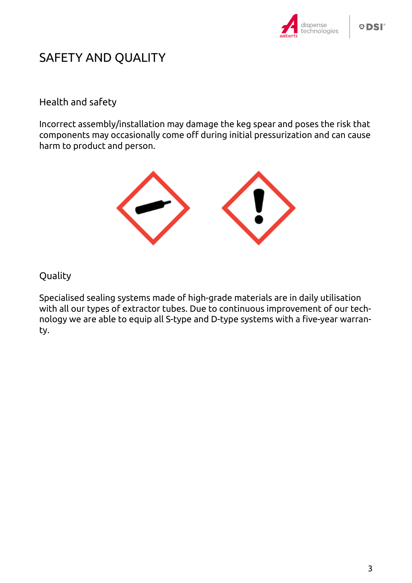

## SAFETY AND QUALITY

#### Health and safety

Incorrect assembly/installation may damage the keg spear and poses the risk that components may occasionally come off during initial pressurization and can cause harm to product and person.



#### Quality

Specialised sealing systems made of high-grade materials are in daily utilisation with all our types of extractor tubes. Due to continuous improvement of our technology we are able to equip all S-type and D-type systems with a five-year warranty.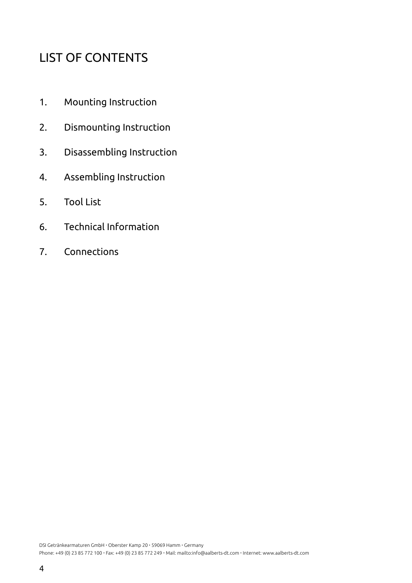## LIST OF CONTENTS

- 1. Mounting Instruction
- 2. Dismounting Instruction
- 3. Disassembling Instruction
- 4. Assembling Instruction
- 5. Tool List
- 6. Technical Information
- 7. Connections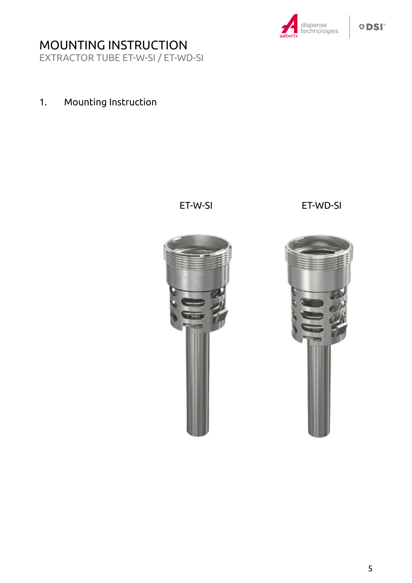

EXTRACTOR TUBE ET-W-SI / ET-WD-SI

## 1. Mounting Instruction

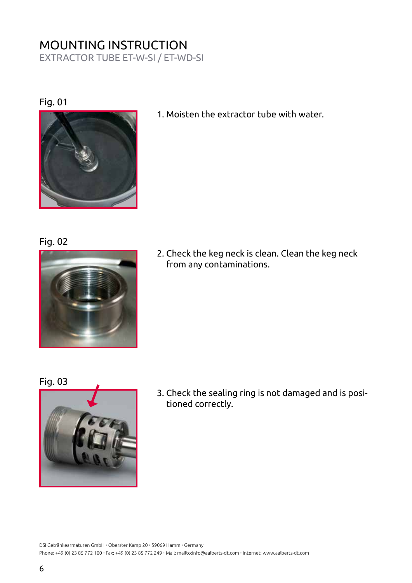EXTRACTOR TUBE ET-W-SI / ET-WD-SI

#### Fig. 01



1. Moisten the extractor tube with water.

Fig. 02



2. Check the keg neck is clean. Clean the keg neck from any contaminations.

Fig. 03



3. Check the sealing ring is not damaged and is posi- tioned correctly.

DSI Getränkearmaturen GmbH · Oberster Kamp 20 · 59069 Hamm · Germany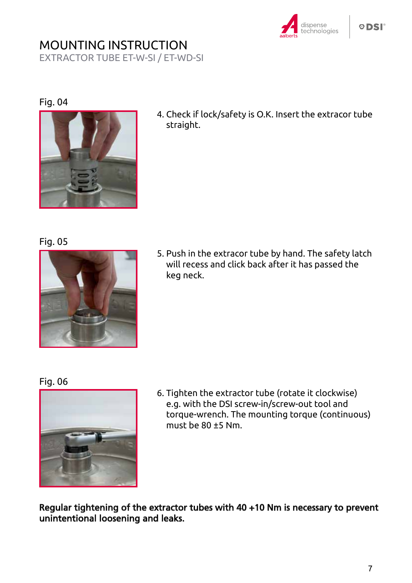

EXTRACTOR TUBE ET-W-SI / ET-WD-SI

#### Fig. 04



4. Check if lock/safety is O.K. Insert the extracor tube straight.

#### Fig. 05



5. Push in the extracor tube by hand. The safety latch will recess and click back after it has passed the keg neck.

#### Fig. 06



6. Tighten the extractor tube (rotate it clockwise) e.g. with the DSI screw-in/screw-out tool and torque-wrench. The mounting torque (continuous) must be 80 ±5 Nm.

Regular tightening of the extractor tubes with 40 +10 Nm is necessary to prevent unintentional loosening and leaks.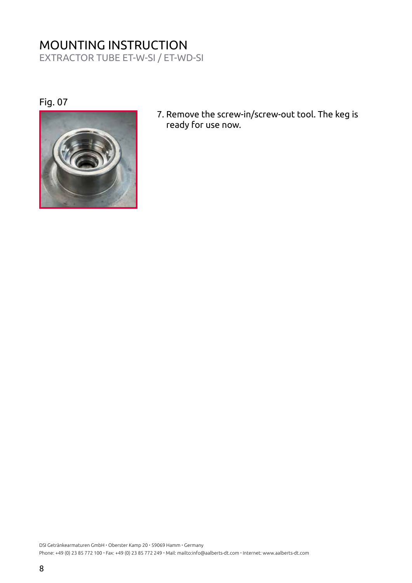EXTRACTOR TUBE ET-W-SI / ET-WD-SI

Fig. 07



7. Remove the screw-in/screw-out tool. The keg is ready for use now.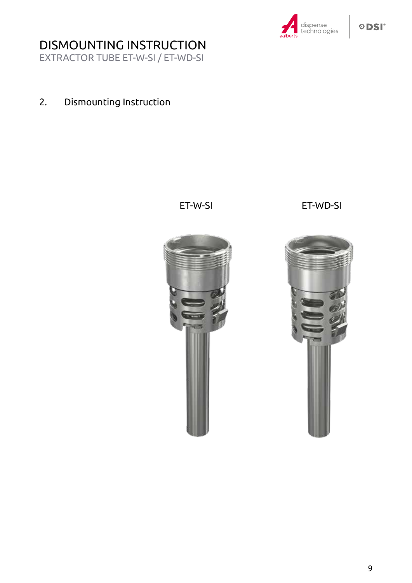

EXTRACTOR TUBE ET-W-SI / ET-WD-SI

## 2. Dismounting Instruction

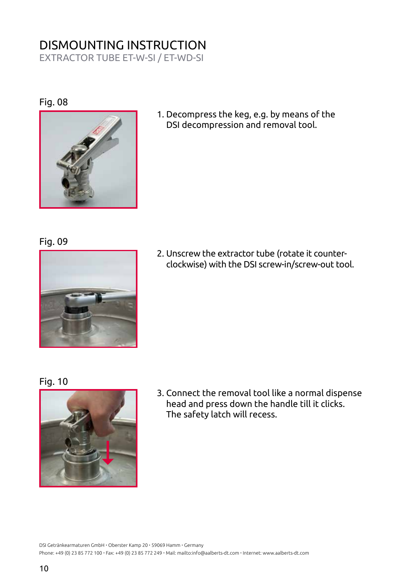EXTRACTOR TUBE ET-W-SI / ET-WD-SI

#### Fig. 08



1. Decompress the keg, e.g. by means of the DSI decompression and removal tool.

#### Fig. 09



2. Unscrew the extractor tube (rotate it counterclockwise) with the DSI screw-in/screw-out tool.

#### Fig. 10



3. Connect the removal tool like a normal dispense head and press down the handle till it clicks. The safety latch will recess.

DSI Getränkearmaturen GmbH · Oberster Kamp 20 · 59069 Hamm · Germany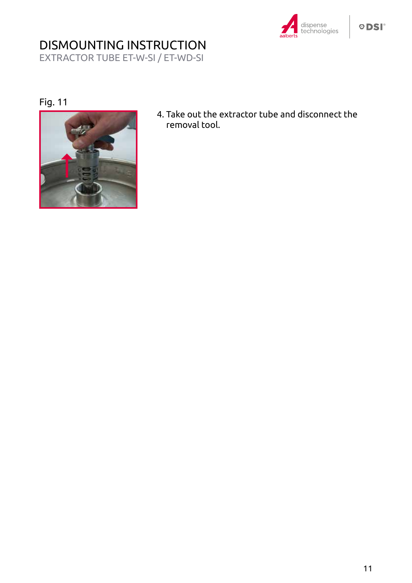

#### **ODSI**

# DISMOUNTING INSTRUCTION

EXTRACTOR TUBE ET-W-SI / ET-WD-SI

#### Fig. 11



4. Take out the extractor tube and disconnect the removal tool.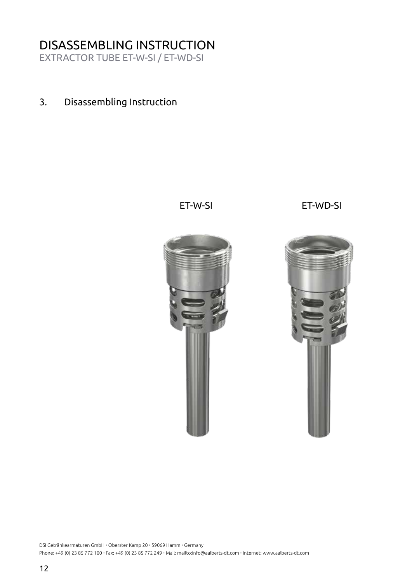## DISASSEMBLING INSTRUCTION

EXTRACTOR TUBE ET-W-SI / ET-WD-SI

3. Disassembling Instruction

ET-W-SI ET-WD-SI

DSI Getränkearmaturen GmbH · Oberster Kamp 20 · 59069 Hamm · Germany Phone: +49 (0) 23 85 772 100 · Fax: +49 (0) 23 85 772 249 · Mail: mailto:info@aalberts-dt.com · Internet: www.aalberts-dt.com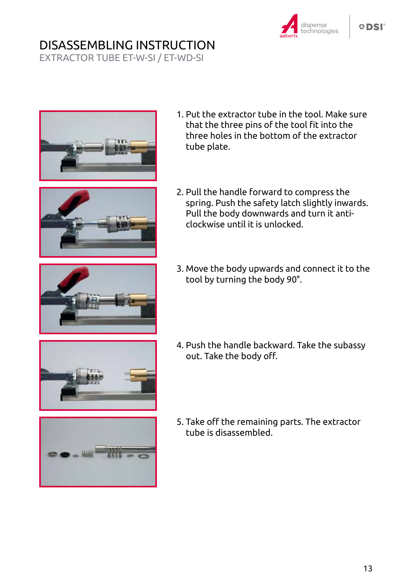# DISASSEMBLING INSTRUCTION

EXTRACTOR TUBE ET-W-SI / ET-WD-SI



1. Put the extractor tube in the tool. Make sure that the three pins of the tool fit into the three holes in the bottom of the extractor tube plate.





3. Move the body upwards and connect it to the tool by turning the body 90°.



- 4. Push the handle backward. Take the subassy out. Take the body off.
- 
- 5. Take off the remaining parts. The extractor tube is disassembled.

dispense

echnologies: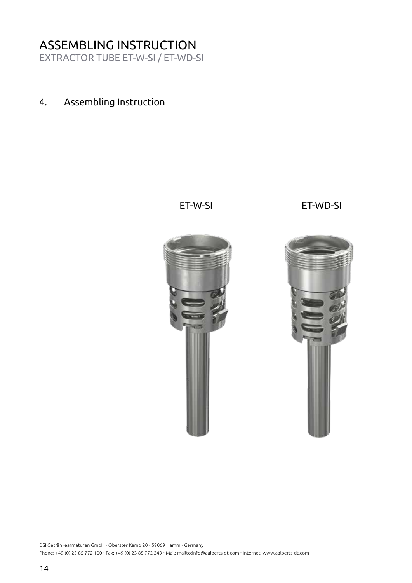## ASSEMBLING INSTRUCTION

EXTRACTOR TUBE ET-W-SI / ET-WD-SI

4. Assembling Instruction

ET-W-SI ET-WD-SI

14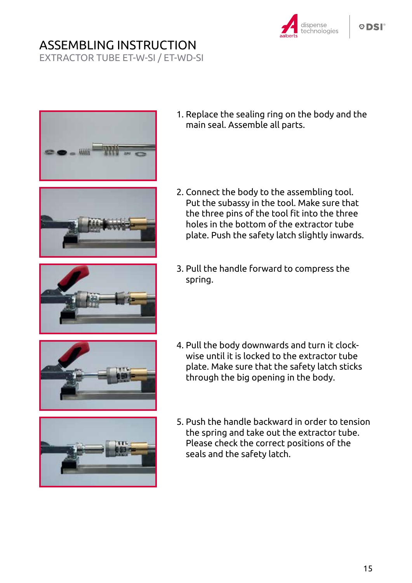# ASSEMBLING INSTRUCTION

EXTRACTOR TUBE ET-W-SI / ET-WD-SI









- 1. Replace the sealing ring on the body and the main seal. Assemble all parts.
- 2. Connect the body to the assembling tool. Put the subassy in the tool. Make sure that the three pins of the tool fit into the three holes in the bottom of the extractor tube plate. Push the safety latch slightly inwards.
- 3. Pull the handle forward to compress the spring.





- 4. Pull the body downwards and turn it clockwise until it is locked to the extractor tube plate. Make sure that the safety latch sticks through the big opening in the body.
- 5. Push the handle backward in order to tension the spring and take out the extractor tube. Please check the correct positions of the seals and the safety latch.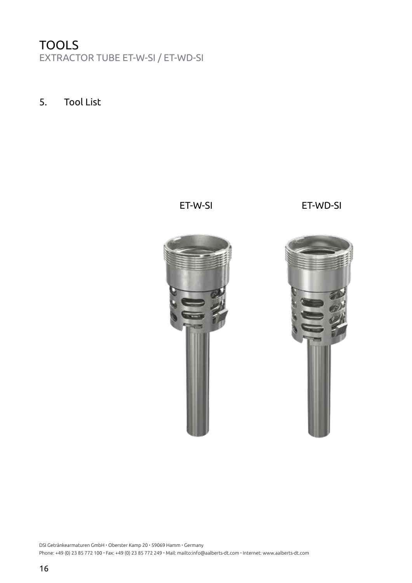## TOOLS EXTRACTOR TUBE ET-W-SI / ET-WD-SI

5. Tool List



16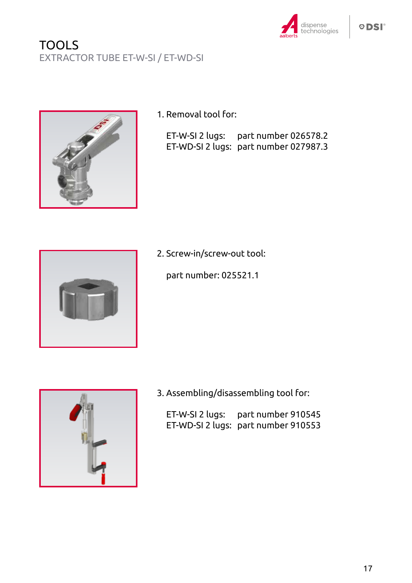

## TOOLS EXTRACTOR TUBE ET-W-SI / ET-WD-SI



1. Removal tool for:

| ET-W-SI 2 lugs: part number 026578.2  |
|---------------------------------------|
| ET-WD-SI 2 lugs: part number 027987.3 |



2. Screw-in/screw-out tool:

part number: 025521.1



3. Assembling/disassembling tool for:

ET-W-SI 2 lugs: part number 910545 ET-WD-SI 2 lugs: part number 910553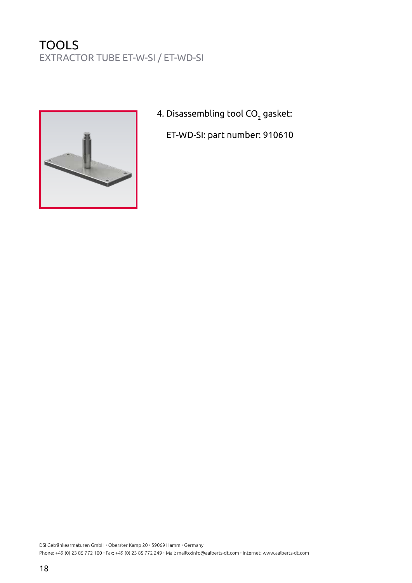## **TOOLS** EXTRACTOR TUBE ET-W-SI / ET-WD-SI



4. Disassembling tool CO $_{\rm 2}$  gasket:

ET-WD-SI: part number: 910610

DSI Getränkearmaturen GmbH · Oberster Kamp 20 · 59069 Hamm · Germany Phone: +49 (0) 23 85 772 100 · Fax: +49 (0) 23 85 772 249 · Mail: mailto:info@aalberts-dt.com · Internet: www.aalberts-dt.com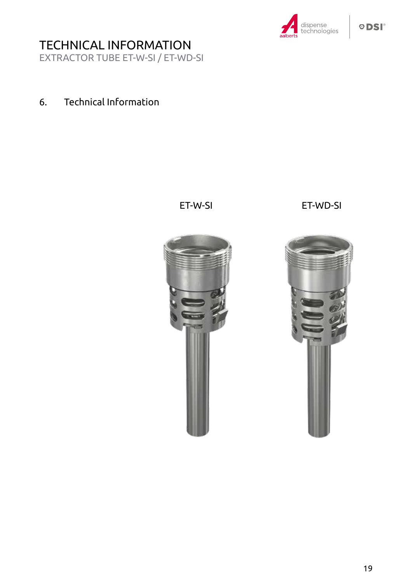

# TECHNICAL INFORMATION

EXTRACTOR TUBE ET-W-SI / ET-WD-SI

### 6. Technical Information

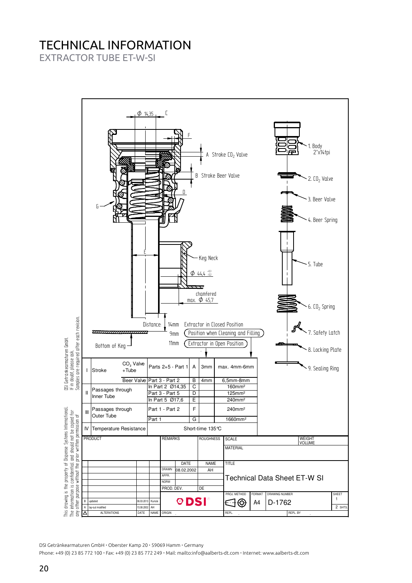## TECHNICAL INFORMATION

EXTRACTOR TUBE ET-W-SI



DSI Getränkearmaturen GmbH · Oberster Kamp 20 · 59069 Hamm · Germany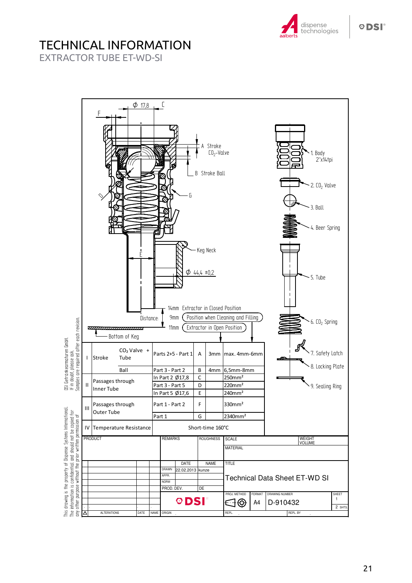

# TECHNICAL INFORMATION

EXTRACTOR TUBE ET-WD-SI



**ODSI**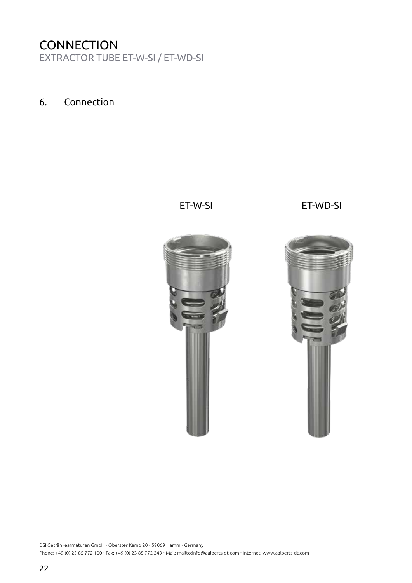## **CONNECTION**

EXTRACTOR TUBE ET-W-SI / ET-WD-SI

#### 6. Connection

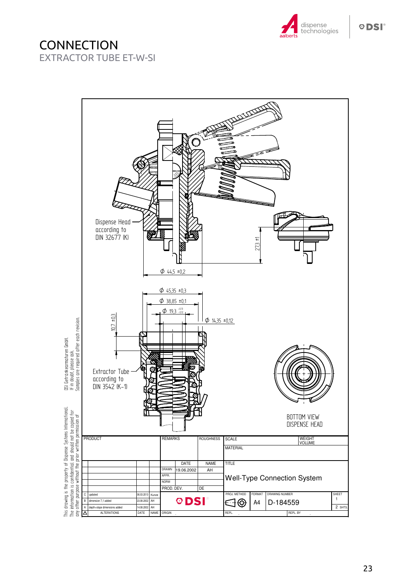

### **CONNECTION** EXTRACTOR TUBE ET-W-SI

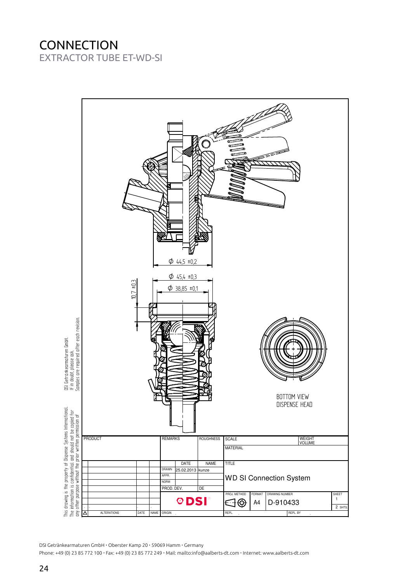#### **CONNECTION** EXTRACTOR TUBE ET-WD-SI



DSI Getränkearmaturen GmbH · Oberster Kamp 20 · 59069 Hamm · Germany